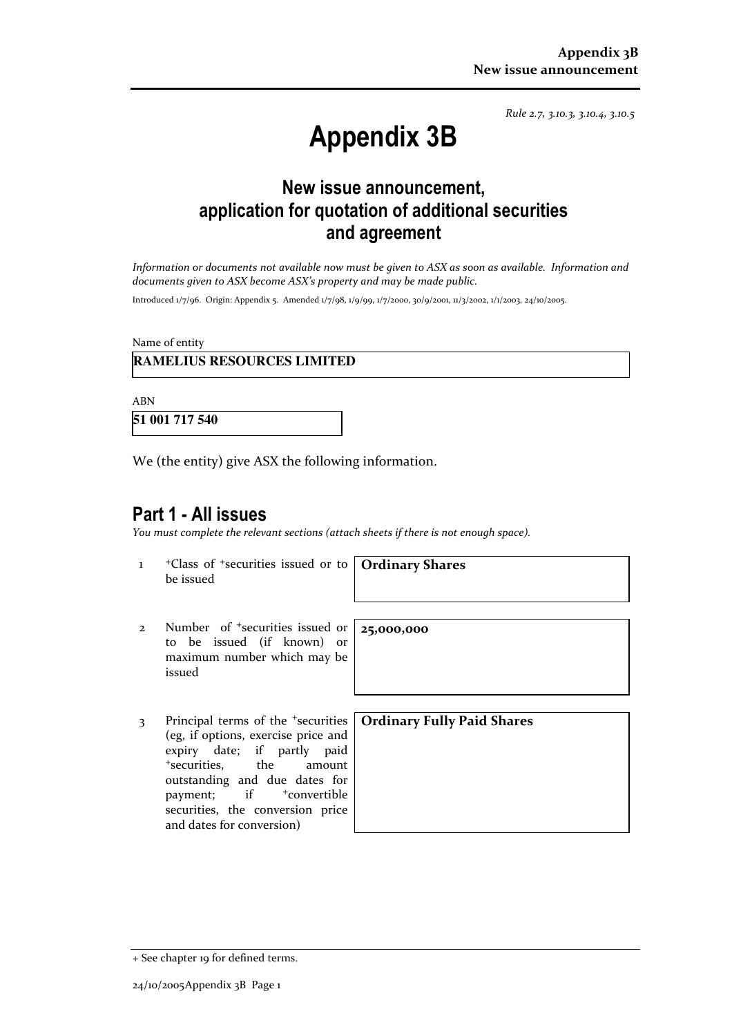Rule 2.7, 3.10.3, 3.10.4, 3.10.5

# Appendix 3B

# New issue announcement, application for quotation of additional securities and agreement

Information or documents not available now must be given to ASX as soon as available. Information and documents given to ASX become ASX's property and may be made public.

Introduced 1/7/96. Origin: Appendix 5. Amended 1/7/98, 1/9/99, 1/7/2000, 30/9/2001, 11/3/2002, 1/1/2003, 24/10/2005.

Name of entity

#### **RAMELIUS RESOURCES LIMITED**

ABN

**51 001 717 540** 

We (the entity) give ASX the following information.

## Part 1 - All issues

You must complete the relevant sections (attach sheets if there is not enough space).

1 +Class of +securities issued or to be issued

Ordinary Shares

25,000,000

- 2 Number of +securities issued or to be issued (if known) or maximum number which may be issued
- 3 Principal terms of the <sup>+</sup>securities (eg, if options, exercise price and expiry date; if partly paid <sup>+</sup>securities, the amount outstanding and due dates for payment; if  $+$ convertible securities, the conversion price and dates for conversion)

Ordinary Fully Paid Shares

<sup>+</sup> See chapter 19 for defined terms.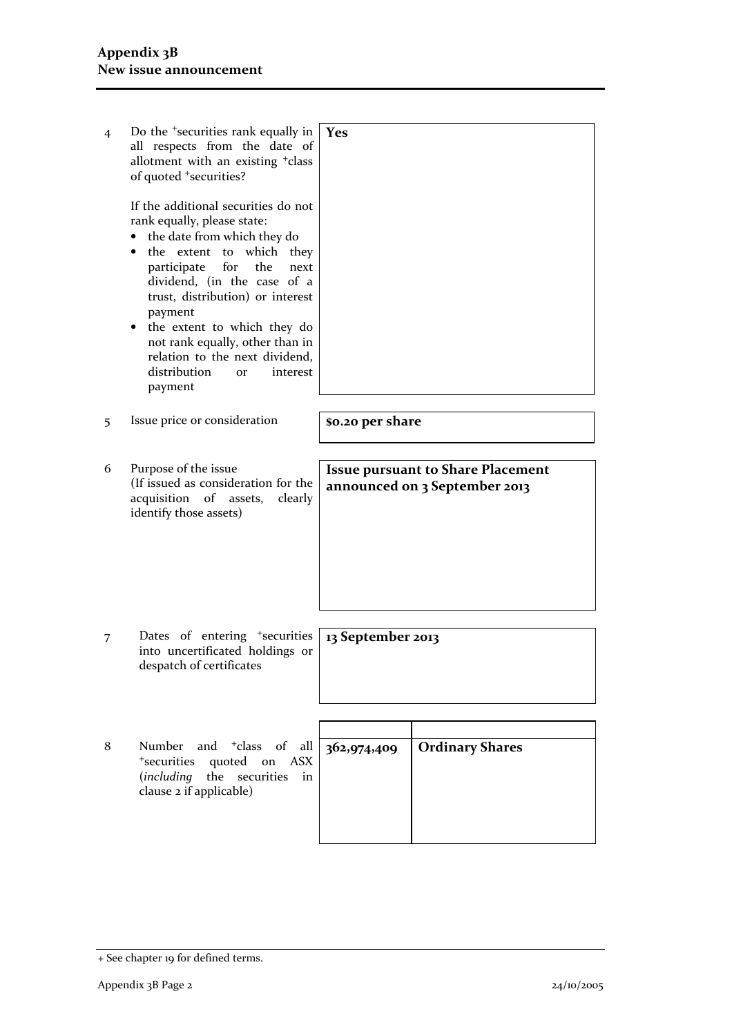| 4 | Do the <sup>+</sup> securities rank equally in<br>all respects from the date of<br>allotment with an existing <sup>+</sup> class<br>of quoted <sup>+</sup> securities?<br>If the additional securities do not                                                                                                                                                  | Yes                                                                       |                        |  |
|---|----------------------------------------------------------------------------------------------------------------------------------------------------------------------------------------------------------------------------------------------------------------------------------------------------------------------------------------------------------------|---------------------------------------------------------------------------|------------------------|--|
|   | rank equally, please state:<br>the date from which they do<br>which they<br>the extent to<br>for<br>participate<br>the<br>next<br>dividend, (in the case of a<br>trust, distribution) or interest<br>payment<br>the extent to which they do<br>٠<br>not rank equally, other than in<br>relation to the next dividend,<br>distribution<br>interest<br><b>or</b> |                                                                           |                        |  |
|   | payment                                                                                                                                                                                                                                                                                                                                                        |                                                                           |                        |  |
| 5 | Issue price or consideration                                                                                                                                                                                                                                                                                                                                   | \$0.20 per share                                                          |                        |  |
|   |                                                                                                                                                                                                                                                                                                                                                                |                                                                           |                        |  |
| 6 | Purpose of the issue<br>(If issued as consideration for the<br>acquisition of assets,<br>clearly<br>identify those assets)                                                                                                                                                                                                                                     | <b>Issue pursuant to Share Placement</b><br>announced on 3 September 2013 |                        |  |
| 7 | Dates of entering <sup>+</sup> securities<br>into uncertificated holdings or<br>despatch of certificates                                                                                                                                                                                                                                                       | 13 September 2013                                                         |                        |  |
|   |                                                                                                                                                                                                                                                                                                                                                                |                                                                           |                        |  |
| 8 | <sup>+</sup> class<br>Number<br>and<br>of<br>all<br><sup>+</sup> securities<br>quoted<br>on<br><b>ASX</b><br>(including the<br>securities<br>in<br>clause 2 if applicable)                                                                                                                                                                                     | 362,974,409                                                               | <b>Ordinary Shares</b> |  |
|   |                                                                                                                                                                                                                                                                                                                                                                |                                                                           |                        |  |

<sup>+</sup> See chapter 19 for defined terms.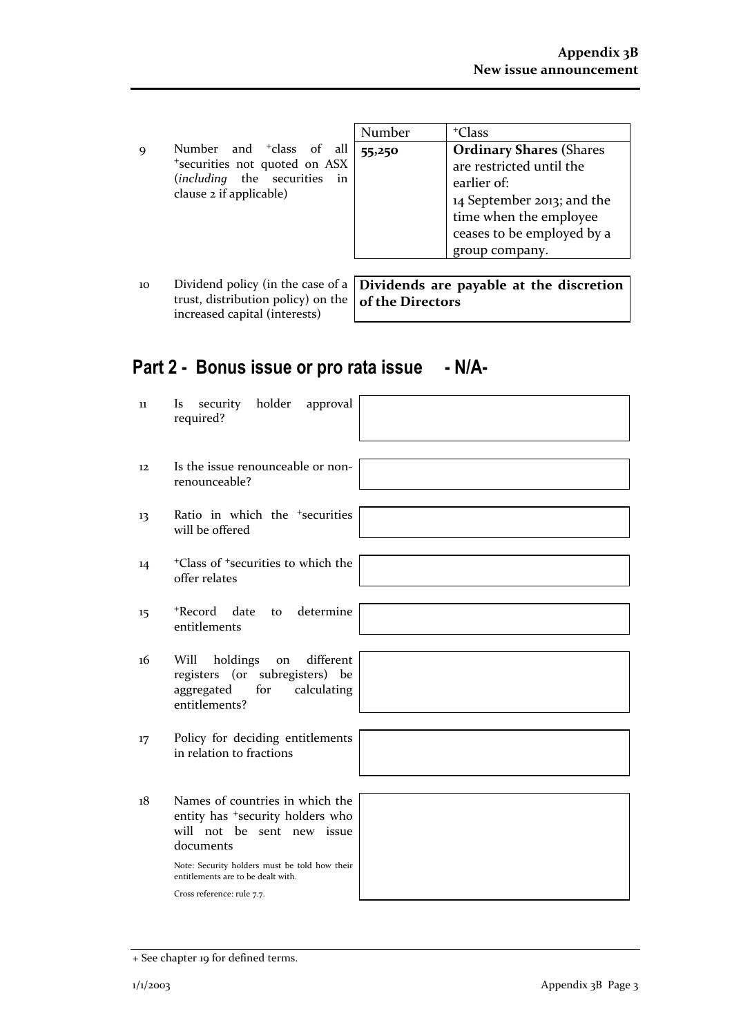|                                                                                                                                  | Number | <sup>+</sup> Class                                                                                                                                                                |
|----------------------------------------------------------------------------------------------------------------------------------|--------|-----------------------------------------------------------------------------------------------------------------------------------------------------------------------------------|
| Number and <sup>+</sup> class of all<br>*securities not quoted on ASX<br>(including the securities in<br>clause 2 if applicable) | 55,250 | <b>Ordinary Shares (Shares</b><br>are restricted until the<br>earlier of:<br>14 September 2013; and the<br>time when the employee<br>ceases to be employed by a<br>group company. |
|                                                                                                                                  |        |                                                                                                                                                                                   |

10 Dividend policy (in the case of a  $\vert$  **Dividends are payable at the discretion** trust, distribution policy) on the increased capital (interests) of the Directors

# Part 2 - Bonus issue or pro rata issue - N/A-

| 11 | holder<br>security<br>approval<br><i>Is</i><br>required?                                                                                                                    |  |
|----|-----------------------------------------------------------------------------------------------------------------------------------------------------------------------------|--|
| 12 | Is the issue renounceable or non-<br>renounceable?                                                                                                                          |  |
| 13 | Ratio in which the <sup>+</sup> securities<br>will be offered                                                                                                               |  |
| 14 | <sup>+</sup> Class of <sup>+</sup> securities to which the<br>offer relates                                                                                                 |  |
| 15 | determine<br>+Record<br>date<br>to<br>entitlements                                                                                                                          |  |
| 16 | different<br>Will<br>holdings<br>on<br>registers (or subregisters) be<br>aggregated<br>calculating<br>for<br>entitlements?                                                  |  |
| 17 | Policy for deciding entitlements<br>in relation to fractions                                                                                                                |  |
| 18 | Names of countries in which the<br>entity has <sup>+</sup> security holders who<br>will not be sent new issue<br>documents<br>Note: Security holders must be told how their |  |
|    | entitlements are to be dealt with.                                                                                                                                          |  |
|    | Cross reference: rule 7.7.                                                                                                                                                  |  |

<sup>+</sup> See chapter 19 for defined terms.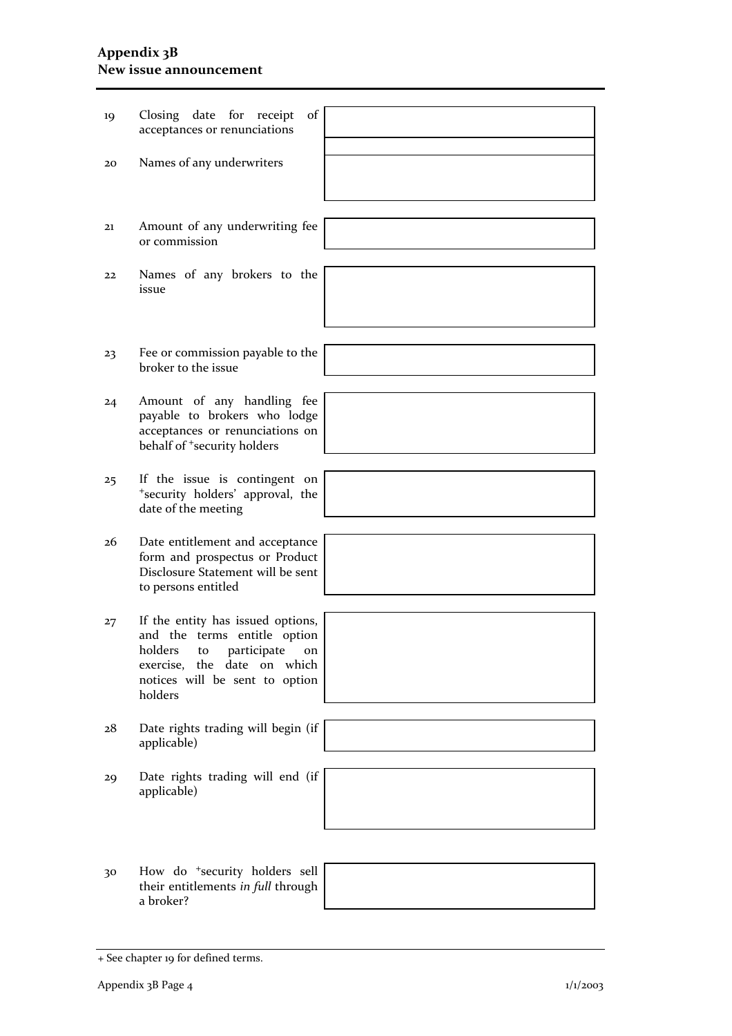### Appendix 3B New issue announcement

| 19 | Closing date for receipt<br>of<br>acceptances or renunciations                                                                                                                         |  |
|----|----------------------------------------------------------------------------------------------------------------------------------------------------------------------------------------|--|
|    |                                                                                                                                                                                        |  |
| 20 | Names of any underwriters                                                                                                                                                              |  |
|    |                                                                                                                                                                                        |  |
| 21 | Amount of any underwriting fee<br>or commission                                                                                                                                        |  |
|    |                                                                                                                                                                                        |  |
| 22 | Names of any brokers to the<br>issue                                                                                                                                                   |  |
|    |                                                                                                                                                                                        |  |
| 23 | Fee or commission payable to the<br>broker to the issue                                                                                                                                |  |
|    |                                                                                                                                                                                        |  |
| 24 | Amount of any handling fee<br>payable to brokers who lodge<br>acceptances or renunciations on<br>behalf of <sup>+</sup> security holders                                               |  |
|    |                                                                                                                                                                                        |  |
| 25 | If the issue is contingent on<br>*security holders' approval, the<br>date of the meeting                                                                                               |  |
|    |                                                                                                                                                                                        |  |
| 26 | Date entitlement and acceptance<br>form and prospectus or Product<br>Disclosure Statement will be sent<br>to persons entitled                                                          |  |
|    |                                                                                                                                                                                        |  |
| 27 | If the entity has issued options,<br>and the terms entitle option<br>participate<br>holders<br>to<br>on<br>exercise, the date on<br>which<br>notices will be sent to option<br>holders |  |
|    |                                                                                                                                                                                        |  |
| 28 | Date rights trading will begin (if<br>applicable)                                                                                                                                      |  |
|    |                                                                                                                                                                                        |  |
| 29 | Date rights trading will end (if<br>applicable)                                                                                                                                        |  |
|    |                                                                                                                                                                                        |  |
| 30 | How do <sup>+</sup> security holders sell                                                                                                                                              |  |
|    | their entitlements in full through<br>a broker?                                                                                                                                        |  |

<sup>+</sup> See chapter 19 for defined terms.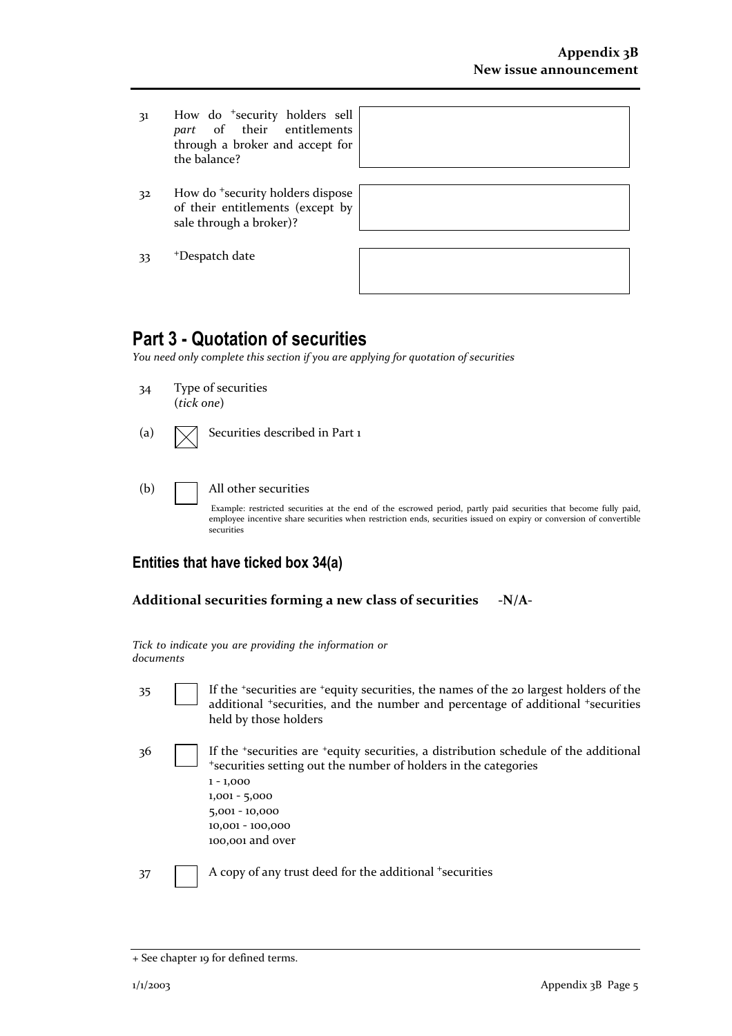- 31 How do <sup>+</sup>security holders sell<br>part of their entitlements their entitlements through a broker and accept for the balance?
- 32 How do <sup>+</sup>security holders dispose of their entitlements (except by sale through a broker)?

|    | <sup>+</sup> Despatch date |
|----|----------------------------|
| 33 |                            |

| e |  |
|---|--|
| V |  |
|   |  |
|   |  |
|   |  |

# Part 3 - Quotation of securities

You need only complete this section if you are applying for quotation of securities

- 34 Type of securities (tick one)
- (a)  $\sqrt{\phantom{a}}$  Securities described in Part 1
- (b) All other securities

Example: restricted securities at the end of the escrowed period, partly paid securities that become fully paid, employee incentive share securities when restriction ends, securities issued on expiry or conversion of convertible securities

## Entities that have ticked box 34(a)

#### Additional securities forming a new class of securities -N/A-

|           |  |  | Tick to indicate you are providing the information or |  |
|-----------|--|--|-------------------------------------------------------|--|
| documents |  |  |                                                       |  |

35 If the <sup>+</sup>securities are <sup>+</sup>equity securities, the names of the 20 largest holders of the additional <sup>+</sup>securities, and the number and percentage of additional <sup>+</sup>securities held by those holders

36 If the <sup>+</sup>securities are <sup>+</sup>equity securities, a distribution schedule of the additional <sup>+</sup>securities setting out the number of holders in the categories 1 - 1,000 1,001 - 5,000 5,001 - 10,000 10,001 - 100,000 100,001 and over

37 A copy of any trust deed for the additional +securities

<sup>+</sup> See chapter 19 for defined terms.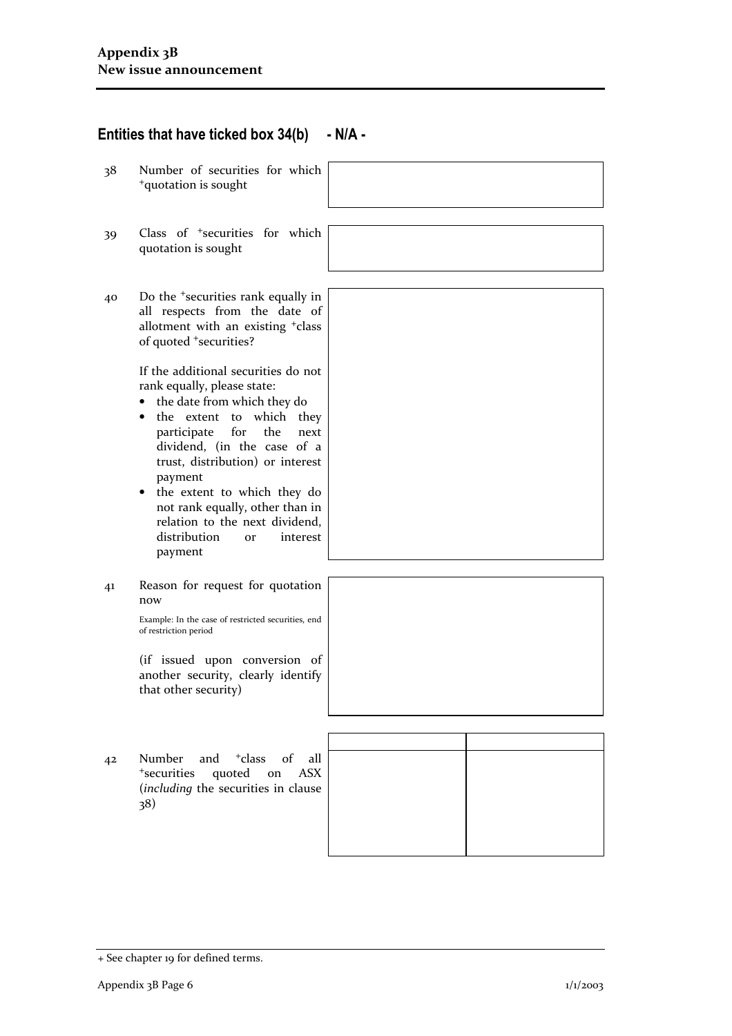## Entities that have ticked box  $34(b) - N/A$  -

- 38 Number of securities for which <sup>+</sup>quotation is sought
- 39 Class of <sup>+</sup>securities for which quotation is sought
- 40 Do the <sup>+</sup>securities rank equally in all respects from the date of allotment with an existing <sup>+</sup>class of quoted <sup>+</sup>securities?

If the additional securities do not rank equally, please state:

- the date from which they do
- the extent to which they participate for the next dividend, (in the case of a trust, distribution) or interest payment
- the extent to which they do not rank equally, other than in relation to the next dividend, distribution or interest payment
- 41 Reason for request for quotation now

Example: In the case of restricted securities, end of restriction period

(if issued upon conversion of another security, clearly identify that other security)

42 Number and <sup>+</sup>class of all <sup>+</sup>securities quoted on ASX (including the securities in clause 38)

<sup>+</sup> See chapter 19 for defined terms.